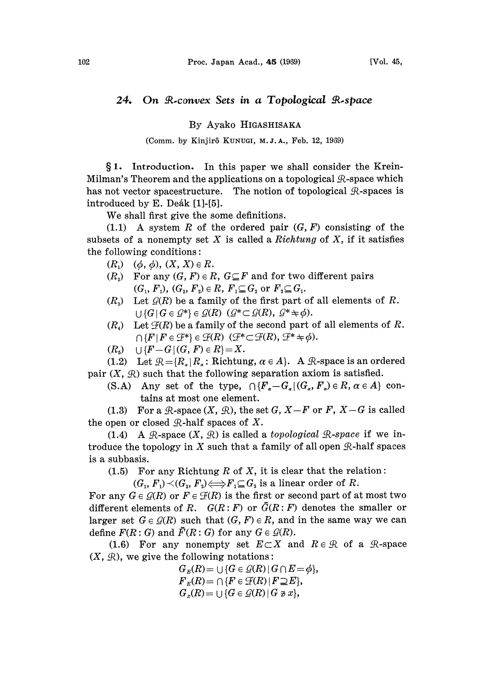# 24. On R-convex Sets in a Topological R-space

# By Ayako HIGASHISAKA

### (Comm. by Kinjirô KUNUGI, M.J.A., Feb. 12, 1969)

§1. Introduction. In this paper we shall consider the Krein-Milman's Theorem and the applications on a topological  $\mathcal{R}$ -space which has not vector spacestructure. The notion of topological  $\mathcal{R}$ -spaces is introduced by E. Deák [1]-[5].

We shall first give the some definitions.

 $(1.1)$  A system R of the ordered pair  $(G, F)$  consisting of the subsets of a nonempty set X is called a Richtung of X, if it satisfies the following conditions:

- $(R_1) \quad (\phi, \, \phi), \, (X, \, X) \in R.$
- $(R_1)$  ( $\varphi$ ,  $\varphi$ ),  $(X, X) \in \mathbb{R}$ .<br>  $(R_2)$  For any  $(G, F) \in R$ ,  $G \subseteq F$  and for two different pairs<br>  $(G_1, F_1)$ ,  $(G_2, F_2) \in R$ ,  $F_1 \subseteq G_2$  or  $F_2 \subseteq G_1$ .
- $(R_3)$  Let  $\mathcal{G}(R)$  be a family of the first part of all elements of R.  $\bigcup \{G | G \in \mathcal{G}^*\}\in \mathcal{Q}(R)$   $(\mathcal{G}^*\subset \mathcal{G}(R), \mathcal{G}^*\neq \phi).$
- $(R<sub>a</sub>)$  Let  $\mathcal{F}(R)$  be a family of the second part of all elements of R.  $\bigcap \{F \mid F \in \mathcal{F}^*\}\in \mathcal{F}(R)$   $(\mathcal{F}^*\subset \mathcal{F}(R), \mathcal{F}^*\neq \phi).$
- $(R_5) \cup \{F-G|(G, F) \in R\} = X.$

(1.2) Let  $\mathcal{R} = \{R_a | R_a : \text{Richtung, } \alpha \in A\}$ . A  $\mathcal{R}\text{-space is an ordered}$ pair  $(X, \mathcal{R})$  such that the following separation axiom is satisfied.

(S.A) Any set of the type,  $\bigcap \{F_{a}-G_{a}|(G_{a}, F_{a})\in R, \alpha \in A\}$  contains at most one element.

(1.3) For a  $\mathcal{R}$ -space  $(X, \mathcal{R})$ , the set G,  $X-F$  or F,  $X-G$  is called the open or closed  $\mathcal{R}$ -half spaces of X.

(1.4) A R-space  $(X, \mathcal{R})$  is called a topological R-space if we introduce the topology in X such that a family of all open  $\mathcal{R}$ -half spaces is a subbasis.

(1.5) For any Richtung R of X, it is clear that the relation:

 $(G_1, F_1) \prec (G_2, F_2) \Longleftrightarrow F_1 \subseteq G_2$  is a linear order of R.

For any  $G \in \mathcal{G}(R)$  or  $F \in \mathcal{F}(R)$  is the first or second part of at most two different elements of R.  $G(R: F)$  or  $\bar{G}(R: F)$  denotes the smaller or larger set  $G \in \mathcal{G}(R)$  such that  $(G, F) \in R$ , and in the same way we can define  $F(R: G)$  and  $\overline{F}(R: G)$  for any  $G \in \mathcal{Q}(R)$ .

(1.6) For any nonempty set  $E\subset X$  and  $R\in\mathcal{R}$  of a  $\mathcal{R}$ -space  $(X, \mathcal{R})$ , we give the following notations:

> $G<sub>E</sub>(R) = \cup {G \in \mathcal{G}(R) | G \cap E} = \phi$ ,  $F_E(R) = \bigcap \{F \in \mathcal{F}(R) \mid F \supseteq E\},\$  $G_x(R) = \bigcup \{G \in \mathcal{Q}(R) \mid G \not\ni x\},\$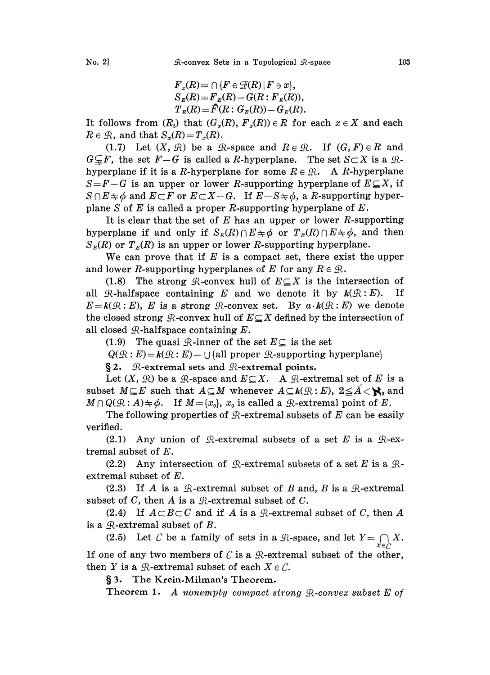$$
F_x(R) = \bigcap \{F \in \mathcal{F}(R) \mid F \ni x\},
$$
  
\n
$$
S_x(R) = F_x(R) - G(R : F_x(R)),
$$
  
\n
$$
T_x(R) = \overline{F}(R : G_x(R)) - G_x(R).
$$

It follows from  $(R_n)$  that  $(G_n(R), F_n(R)) \in R$  for each  $x \in X$  and each  $R \in \mathcal{R}$ , and that  $S_x(R) = T_x(R)$ .

(1.7) Let  $(X, \mathcal{R})$  be a  $\mathcal{R}$ -space and  $R \in \mathcal{R}$ . If  $(G, F) \in R$  and  $G \subseteq F$ , the set  $F-G$  is called a R-hyperplane. The set  $S \subset X$  is a  $\mathcal{R}$ - $G \ncong r$ , the set  $r = G$  is called a *R*-hyperplane. The set  $S \subset X$  is a  $g$ -hyperplane if it is a *R*-hyperplane for some  $R \in \mathcal{R}$ . A *R*-hyperplane  $S = F - G$  is an upper or lower R-supporting hyperplane of  $E \subseteq X$ , if  $S \cap E \neq \emptyset$  and  $E \subset F$  or  $E \subset X - G$ . If  $E - S \neq \emptyset$ , a R-supporting hyperby experiment in the set of  $E$  is a  $E$ -hyperplane for some  $R \in \mathcal{R}$ . A  $R$ -hyperplane  $S = F - G$  is an upper or lower  $R$ -supporting hyperplane of  $E \subseteq X$ , if  $S \cap E \neq \phi$  and  $E \subset F$  or  $E \subset X - G$ . If  $E - S \neq \phi$ , a  $R$ -supp  $S \cap E \neq \emptyset$  and  $E \subset F$  or  $E \subset X - G$ . If  $E - S \neq \emptyset$ , a R-supporting hyper-<br>plane S of E is called a proper R-supporting hyperplane of E.

It is clear that the set of  $E$  has an upper or lower  $R$ -supporting hyperplane if and only if  $S_E(R) \cap E \neq \phi$  or  $T_E(R) \cap E \neq \phi$ , and then  $S_{\kappa}(R)$  or  $T_{\kappa}(R)$  is an upper or lower R-supporting hyperplane.

We can prove that if  $E$  is a compact set, there exist the upper and lower R-supporting hyperplanes of E for any  $R \in \mathcal{R}$ .

(1.8) The strong  $\mathcal{R}$ -convex hull of  $E \subseteq X$  is the intersection of all  $\mathcal{R}$ -halfspace containing E and we denote it by  $k(\mathcal{R}:E)$ . If  $E=k(\mathcal{R}:E)$ , E is a strong  $\mathcal{R}$ -convex set. By  $a \cdot k(\mathcal{R}:E)$  we denote the closed strong  $\mathcal{R}$ -convex hull of  $E \subseteq X$  defined by the intersection of all closed  $\mathcal{R}$ -halfspace containing  $E$ .

(1.9) The quasi  $\mathcal{R}$ -inner of the set  $E \subseteq$  is the set

 $Q(R : E) = k(R : E) - \bigcup \{all proper \mathcal{R}\text{-supporting hyperplane}\}\$ 

 $\S 2.$  R-extremal sets and R-extremal points.

Let  $(X, \mathcal{R})$  be a  $\mathcal{R}$ -space and  $E \subseteq X$ . A  $\mathcal{R}$ -extremal set of E is a Let  $(X, \mathcal{R})$  be a  $\mathcal{R}$ -space and  $E \subseteq X$ . A  $\mathcal{R}$ -extremal set of  $E$  is a subset  $M \subseteq E$  such that  $A \subseteq M$  whenever  $A \subseteq k(\mathcal{R}:E)$ ,  $2 \leq \overline{A} < \aleph_0$  and  $M \cap Q(\mathcal{R}:A) \neq \emptyset$ . If  $M = \{x_0\}$ ,  $x_0$  is called a  $\mathcal{R}$ -extremal point of E.

The following properties of  $\mathcal{R}$ -extremal subsets of E can be easily verified.

(2.1) Any union of  $\mathcal{R}$ -extremal subsets of a set E is a  $\mathcal{R}$ -extremal subset of E.

(2.2) Any intersection of  $\mathcal{R}$ -extremal subsets of a set E is a  $\mathcal{R}$  $extremal subset of  $E$ .$ 

subset of  $C$ , then  $A$  is a  $R$ -extremal subset of  $C$ . (2.3) If A is a  $\mathcal{R}$ -extremal subset of B and, B is a  $\mathcal{R}$ -extremal et of C, then A is a  $\mathcal{R}$ -extremal subset of C.  $\begin{array}{c} A \ \text{is a} \ \text{hen } A \ \text{i} \ A \subset B \subset \end{array}$ 

(2.4) If C and if A is a  $\mathcal{R}$ -extremal subset of C, then A is a  $\mathcal{R}$ -extremal subset of  $B$ .

(2.5) Let C be a family of sets in a  $\mathcal{R}$ -space, and let  $Y = \bigcap_{x \in \mathcal{C}} X$ . If one of any two members of  $\mathcal C$  is a  $\mathcal R$ -extremal subset of the other, then Y is a  $\mathcal{R}$ -extremal subset of each  $X \in \mathcal{C}$ .

3. The Krein.Milman's Theorem.

**Theorem 1.** A nonempty compact strong  $\mathbb{R}$ -convex subset E of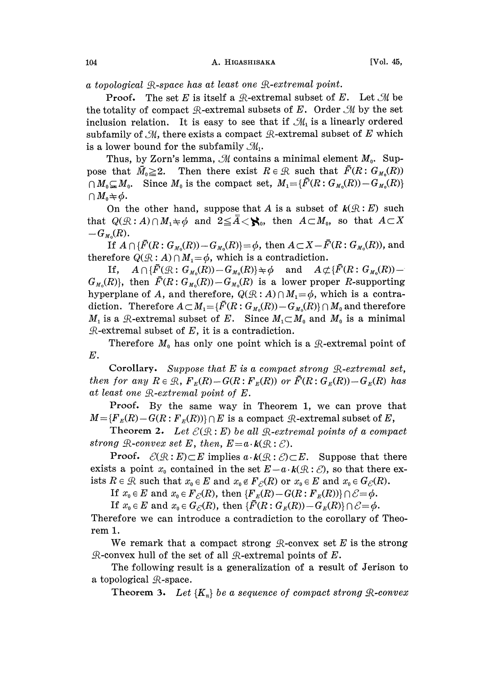a topological  $\mathcal{R}\text{-space}$  has at least one  $\mathcal{R}\text{-}extremal$  point.

**Proof.** The set E is itself a  $\mathcal{R}$ -extremal subset of E. Let  $\mathcal{M}$  be the totality of compact  $\mathcal{R}$ -extremal subsets of E. Order  $\mathcal{M}$  by the set inclusion relation. It is easy to see that if  $\mathcal{M}_1$  is a linearly ordered subfamily of  $M$ , there exists a compact  $R$ -extremal subset of E which is a lower bound for the subfamily  $\mathcal{M}_1$ .

lower bound for the subtamlly  $\mathcal{M}_1.$   $\blacksquare$ pose that  $\bar{M}_0 \geq 2$ . Then there exist  $R \in \mathcal{R}$  such that  $\bar{F}(R: G_{M_0}(R))$  $\bigcap M_0 \subsetneq M_0$ . Since  $M_0$  is the compact set,  $M_1 = \{\overline{F}(R: G_{M_0}(R)) - G_{M_0}(R)\}$  $\cap$   $M_0 \neq \phi$ .

On the other hand, suppose that A is a subset of  $k(\mathcal{R}:E)$  such that  $Q(\mathcal{R}:A)\cap M_1\neq\emptyset$  and  $2\leq\overline{A}<\mathcal{R}_0$ , then  $A\subset M_0$ , so that  $A\subset X$  $-G_{M_0}(R)$ .

If  $A \cap {\{\bar{F}(R:G_{M_0}(R)) - G_{M_0}(R)\} = \phi}$ , then  $A \subset X - {\bar{F}(R:G_{M_0}(R))}$ , and therefore  $Q(R: A) \cap M_1 = \phi$ , which is a contradiction.

If,  $A \cap {\{\overline{F}}(\mathcal{R}: G_{M_0}(R)) = G_{M_0}(R)\} \neq \emptyset$  and  $A \not\subset {\{\overline{F}}(R: G_{M_0}(R)) = \emptyset}$  $G_{M_0}(R)$ , then  $\bar{F}(R: G_{M_0}(R)) - G_{M_0}(R)$  is a lower proper R-supporting hyperplane of A, and therefore,  $Q(R : A) \cap M_1 = \phi$ , which is a contradiction. Therefore  $A \subset M_1 = {\{\overline{F}(R:G_{M_0}(R)) - G_{M_0}(R)\}\cap M_0}$  and therefore  $M_1$  is a  $\mathcal{R}$ -extremal subset of E. Since  $M_1 \subset M_0$  and  $M_0$  is a minimal  $\mathcal{R}$ -extremal subset of E, it is a contradiction.

Therefore  $M_0$  has only one point which is a  $\mathcal{R}$ -extremal point of E.

Corollary. Suppose that  $E$  is a compact strong  $\mathcal{R}\text{-}extremal set$ , then for any  $R \in \mathcal{R}$ ,  $F_E(R)-G(R: F_E(R))$  or  $\overline{F}(R: G_E(R))-G_E(R)$  has at least one  $\mathcal{R}\text{-}extremal point of E.$ 

Proof. By the same way in Theorem 1, we can prove that  $M=\{F_{E}(R)-G(R:F_{E}(R))\}\cap E$  is a compact  $\mathcal{R}$ -extremal subset of  $E$ ,

Theorem 2. Let  $\mathcal{E}(\mathcal{R}:E)$  be all  $\mathcal{R}\text{-}extremal points$  of a compact strong  $\mathcal{R}\text{-}convex$  set E, then,  $E = a \cdot k(\mathcal{R} : \mathcal{E})$ .

**Proof.**  $\mathcal{E}(\mathcal{R}:E)\subset E$  implies  $a \cdot k(\mathcal{R}:\mathcal{E})\subset E$ . Suppose that there exists a point  $x_0$  contained in the set  $E-a \cdot k(\mathcal{R} : \mathcal{E})$ , so that there exists  $R \in \mathcal{R}$  such that  $x_0 \in E$  and  $x_0 \notin F_{\mathcal{E}}(R)$  or  $x_0 \in E$  and  $x_0 \in G_{\mathcal{E}}(R)$ .

If  $x_0 \in E$  and  $x_0 \in F_{\mathcal{E}}(R)$ , then  ${F}_E(R)-G(R: F_E(R))\cap \mathcal{E} = \phi$ .

If  $x_0 \in E$  and  $x_0 \in G_{\mathcal{E}}(R)$ , then  $\{\bar{F}(R: G_E(R)) - G_E(R)\} \cap \mathcal{E} = \phi$ .

Therefore we can introduce a contradiction to the corollary of Theorem 1.

We remark that a compact strong  $\mathcal{R}$ -convex set E is the strong  $\mathcal{R}$ -convex hull of the set of all  $\mathcal{R}$ -extremal points of  $E$ .

The following result is a generalization of a result of Jerison to a topological  $\mathcal{R}$ -space.

Theorem 3. Let  $\{K_n\}$  be a sequence of compact strong  $\mathcal{R}\text{-}convex$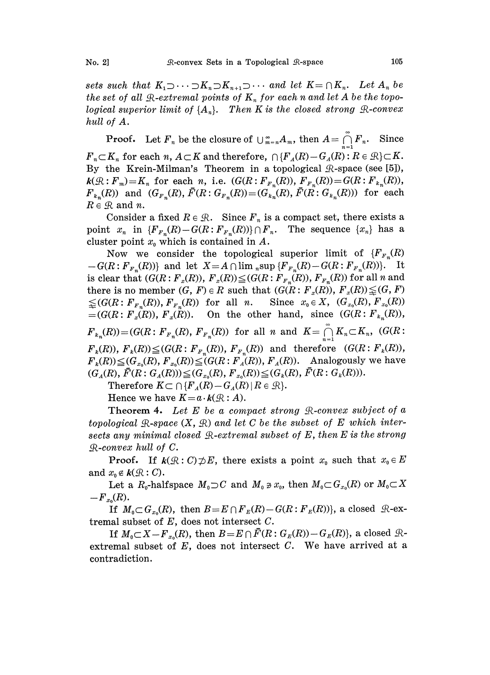sets such that  $K_1 \supset \cdots \supset K_n \supset K_{n+1} \supset \cdots$  and let  $K = \bigcap K_n$ . Let  $A_n$  be the set of all  $\mathcal{R}\text{-} extremal points of  $K_n$  for each n and let A be the topo$ logical superior limit of  $\{A_n\}$ . Then K is the closed strong  $\mathcal{R}\text{-convex}$ hull of A.

**Proof.** Let  $F_n$  be the closure of  $\bigcup_{m=n}^{\infty} A_m$ , then  $A = \bigcap_{m=1}^{\infty} F_n$ . Since  $F_n \subset K_n$  for each n,  $A \subset K$  and therefore,  $\bigcap \{F_A(R)-G_A(R): R \in \mathcal{R}\}\subset K$ . By the Krein-Milman's Theorem in a topological  $\mathcal{R}$ -space (see [5]),  $k(\mathcal{R}:F_m)=K_n$  for each n, i.e.  $(G(R:F_{F_n}(R)), F_{F_n}(R))=G(R:F_{k_n}(R)),$  $F_{k_n}(R)$  and  $(G_{F_n}(R),\bar{F}(R:G_{F_n}(R))=(G_{k_n}(R),\bar{F}(R:G_{k_n}(R)))$  for each  $R \in \mathcal{R}$  and n.

Consider a fixed  $R \in \mathcal{R}$ . Since  $F_n$  is a compact set, there exists a<br>t  $x_n$  in  $\{F_{F_n}(R) - G(R : F_{F_n}(R))\} \cap F_n$ . The sequence  $\{x_n\}$  has a point  $x_n$  in  ${F_{F_n}(R) - G(R: F_{F_n}(R))} \cap F_n$ . cluster point  $x_0$  which is contained in A.

Now we consider the topological superior limit of  ${F_{F_n}(R)}$  $-G(R: \mathbb{F}_{F_n}(R))$  and let  $X = A \cap \lim_{n \to \infty} \{ \mathbb{F}_{F_n}(R) - G(R: \mathbb{F}_{F_n}(R)) \}.$  It is clear that  $(G(R: F_x(R)), F_x(R)) \leq (G(R: F_{F_x(R)}), F_{F_x(R)})$  for all n and there is no member  $(G, F) \in R$  such that  $(G(R: F_x(R)), F_x(R)) \leq (G, F)$  $\leq (G(R: \{F_{F_n}(R)), \{F_{F_n}(R)\})$  for all n. Since  $x_0 \in X$ ,  $(G_{x_0}(R), \{F_{x_0}(R)\})$  $=(G(R: F<sub>x</sub>(R)), F<sub>x</sub>(R)).$  On the other hand, since  $(G(R: F<sub>k<sub>n</sub></sub>(R)),$  $F_{k_n}(R)) = (G(R: F_{F_n}(R), F_{F_n}(R))$  for all n and  $K = \bigcap_{n=1}^{\infty} K_n \subset K_n$ ,  $(G(R: K_n)$  $F_k(R)$ ,  $F_k(R)$ ) $\leq$ ( $G(R: F_{F_n}(R)$ ),  $F_{F_n}(R)$ ) and therefore ( $G(R: F_k(R)$ ),  $F_k(R) \leq (G_{x_0}(R), F_{x_0}(R)) \leq (G(R; F_A(R)), F_A(R)).$  Analogously we have  $(G_A(R), \overline{F}(R: G_A(R))) \leq (G_{x_0}(R), \overline{F}_{x_0}(R)) \leq (G_k(R), \overline{F}(R: G_k(R))).$ 

Therefore  $K \subset \bigcap \{F_A(R)-G_A(R) | R \in \mathcal{R}\}.$ 

Hence we have  $K = a \cdot k(\mathcal{R}:A)$ .

Theorem 4. Let E be a compact strong  $\mathcal{R}$ -convex subject of a topological  $\mathcal{R}\text{-space } (X, \mathcal{R})$  and let C be the subset of E which intersects any minimal closed  $\mathcal{R}\text{-} extremal subset of E, then E is the strong$  $\mathcal{R}\text{-convex hull of } C.$ 

**Proof.** If  $k(\mathcal{R}: C) \not\supset E$ , there exists a point  $x_0$  such that  $x_0 \in E$ and  $x_0 \notin k(\mathcal{R}:C)$ .

Let a  $R_0$ -halfspace  $M_0 \supset C$  and  $M_0 \ni x_0$ , then  $M_0 \subset G_{x_0}(R)$  or  $M_0 \subset X$  $-F_{x_0}(R).$ 

If  $M_0 \subset G_{x_0}(R)$ , then  $B = E \cap F_E(R) - G(R : F_E(R))$ , a closed  $\mathcal{R}$ -extremal subset of  $E$ , does not intersect  $C$ .

If  $M_0 \subset X - F_{x_0}(R)$ , then  $B = E \cap \overline{F}(R: G_E(R)) - G_E(R)$ , a closed  $\mathcal{R}$ extremal subset of  $E$ , does not intersect  $C$ . We have arrived at a contradiction.